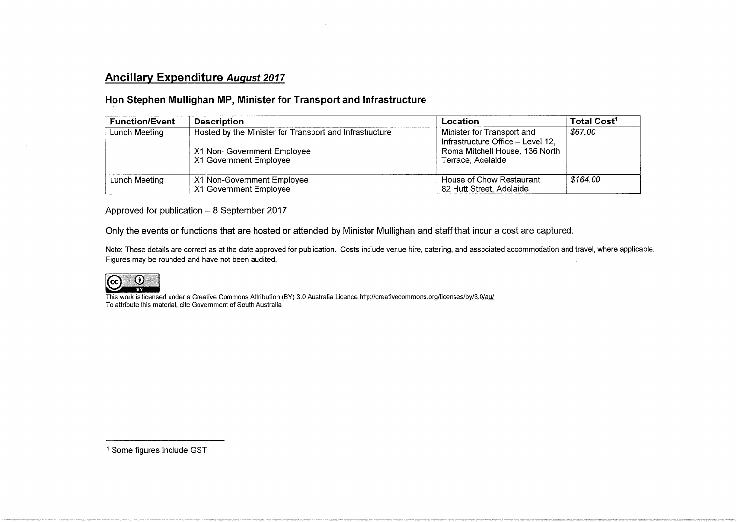## **Ancillary Expenditure August 2017**

## Hon Stephen Mullighan MP, Minister for Transport and Infrastructure

| <b>Function/Event</b> | <b>Description</b>                                      | <b>Location</b>                                                 | Total Cost <sup>1</sup> |
|-----------------------|---------------------------------------------------------|-----------------------------------------------------------------|-------------------------|
| Lunch Meeting         | Hosted by the Minister for Transport and Infrastructure | Minister for Transport and<br>Infrastructure Office - Level 12, | \$67.00                 |
|                       | X1 Non- Government Employee<br>X1 Government Employee   | Roma Mitchell House, 136 North<br>Terrace, Adelaide             |                         |
| Lunch Meeting         | X1 Non-Government Employee                              | House of Chow Restaurant                                        | \$164.00                |
|                       | X1 Government Employee                                  | 82 Hutt Street, Adelaide                                        |                         |

Approved for publication  $-8$  September 2017

Only the events or functions that are hosted or attended by Minister Mullighan and staff that incur a cost are captured.

Note: These details are correct as at the date approved for publication. Costs include venue hire, catering, and associated accommodation and travel, where applicable. Figures may be rounded and have not been audited.



This work is licensed under a Creative Commons Attribution (BY) 3.0 Australia Licence <u>http://creativecommons.org/licenses/by/3.0/au</u> To attribute this material, cite Government of South Australia

1 Some figures include GST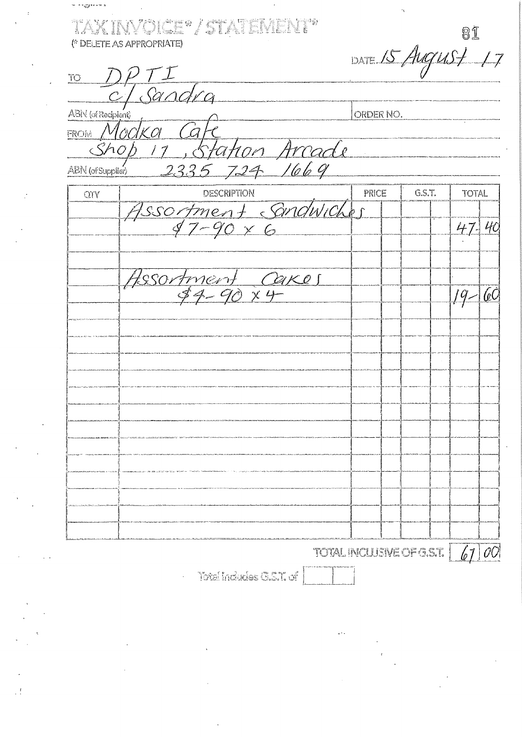VT® TAXINVÖICE\*/STATEME! 81 (\* DELETE AS APPROPRIATE) DATE 15 August 17 TO c/Sandra ABN (of Recipient) ORDER NO. EROM MOOKO 1 tation Arrade  $Sho$ 2335 724 1669 ABN (of Supplier) DESCRIPTION PRICE G.S.T. **TOTAL** QTY Issortment Guidwicher  $46$  $47.$ Fesortment Cakes GC  $19-$ TOTAL INCLUSIVE OF G.S.T. 67 00 Total Indudes C.S.T. of  $\frac{1}{2}$ 

. **. . چ**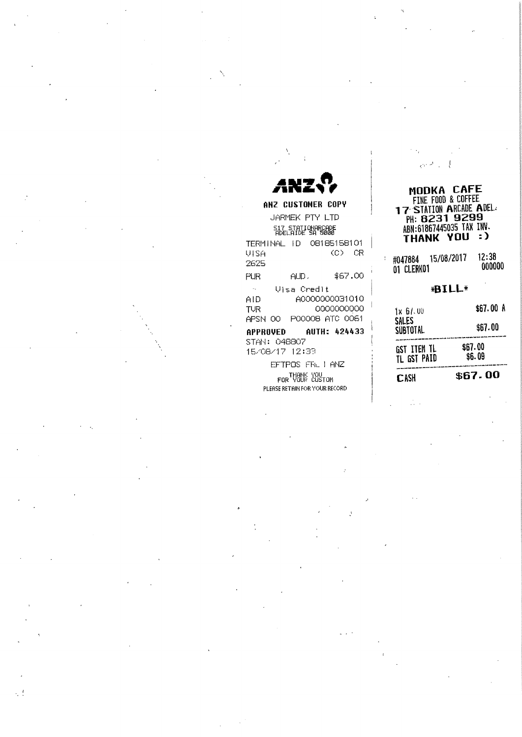#### ANZ CUSTOMER COPY JARMEK PTY LTD S17 STATIONARCADE<br>ADELAIDE SA 5000 TERMINAL ID 08185158101 **UISA**  $\langle C \rangle$   $CR$ 2625 \$67.00 **PUR**  $AUD.$

 $\mathcal{L}_{\mathbf{r}}$  . Visa Credit A0000000031010 AID 0000000000 **TVR** APSN 00 P0000B ATC 0061 AUTH: 424433 **APPROVED** STAN: 048807

15/08/17 12:33 EFTPOS FRUI ANZ

> FOR TUBLE YOU FOR PLEASE RETAIN FOR YOUR RECORD

## MODKA CAFE FINE FOOD & COFFEE 17 STATION ARCADE ADEL.

PH: 8231 9299 ABN:61867445035 TAX INV. THANK YOU :)

 $\pm$  #047884 15/08/2017  $12:38$ 000000 01 CLERK01

### \*BILL\*

| <b>CASH</b>                | \$67.00           |
|----------------------------|-------------------|
| GST ITEM TL<br>TL GST PAID | \$67.00<br>\$6.09 |
| <b>SALES</b><br>SUBTOTAL   | \$67.00           |
| 1x 61.00                   | \$67.00 A         |

 $\cdot$ ,  $\cdot$